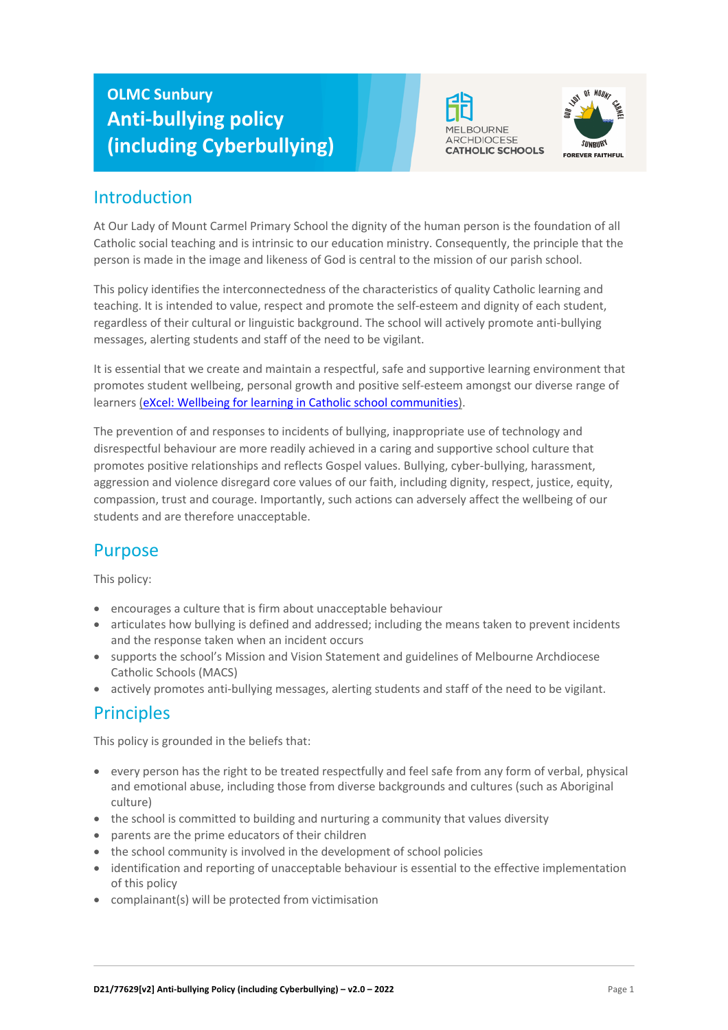# **OLMC Sunbury Anti-bullying policy (including Cyberbullying)**





## Introduction

At Our Lady of Mount Carmel Primary School the dignity of the human person is the foundation of all Catholic social teaching and is intrinsic to our education ministry. Consequently, the principle that the person is made in the image and likeness of God is central to the mission of our parish school.

This policy identifies the interconnectedness of the characteristics of quality Catholic learning and teaching. It is intended to value, respect and promote the self-esteem and dignity of each student, regardless of their cultural or linguistic background. The school will actively promote anti-bullying messages, alerting students and staff of the need to be vigilant.

It is essential that we create and maintain a respectful, safe and supportive learning environment that promotes student wellbeing, personal growth and positive self-esteem amongst our diverse range of learners (eXcel: Wellbeing for learning in Catholic school communities).

The prevention of and responses to incidents of bullying, inappropriate use of technology and disrespectful behaviour are more readily achieved in a caring and supportive school culture that promotes positive relationships and reflects Gospel values. Bullying, cyber-bullying, harassment, aggression and violence disregard core values of our faith, including dignity, respect, justice, equity, compassion, trust and courage. Importantly, such actions can adversely affect the wellbeing of our students and are therefore unacceptable.

## Purpose

This policy:

- encourages a culture that is firm about unacceptable behaviour
- articulates how bullying is defined and addressed; including the means taken to prevent incidents and the response taken when an incident occurs
- supports the school's Mission and Vision Statement and guidelines of Melbourne Archdiocese Catholic Schools (MACS)
- actively promotes anti-bullying messages, alerting students and staff of the need to be vigilant.

## **Principles**

This policy is grounded in the beliefs that:

- every person has the right to be treated respectfully and feel safe from any form of verbal, physical and emotional abuse, including those from diverse backgrounds and cultures (such as Aboriginal culture)
- the school is committed to building and nurturing a community that values diversity
- parents are the prime educators of their children
- the school community is involved in the development of school policies
- identification and reporting of unacceptable behaviour is essential to the effective implementation of this policy
- complainant(s) will be protected from victimisation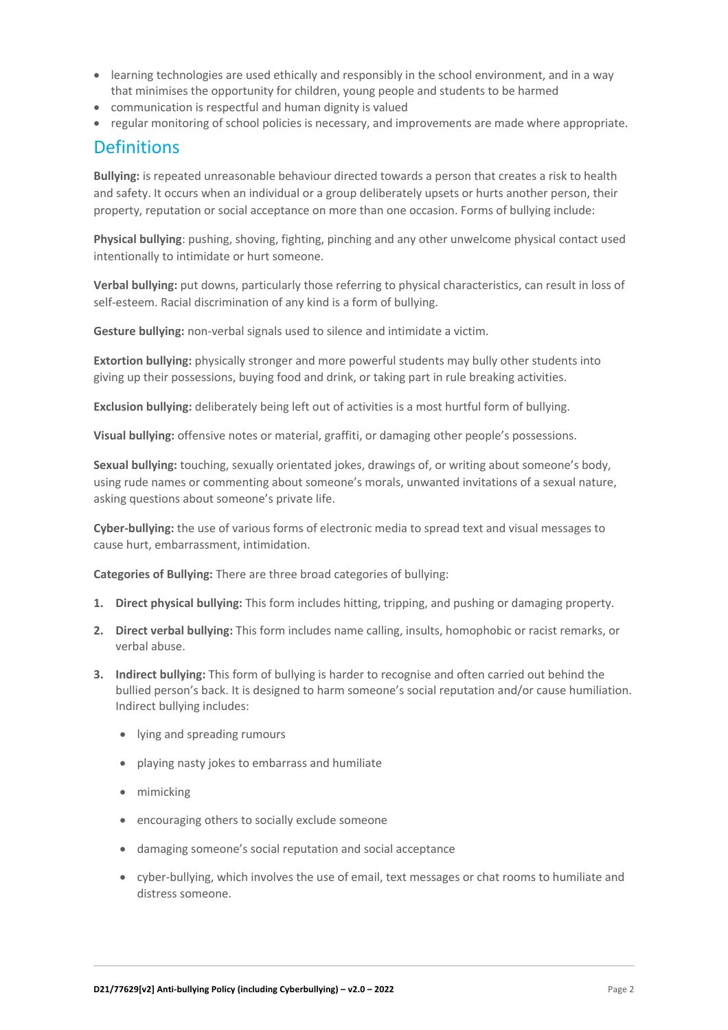- learning technologies are used ethically and responsibly in the school environment, and in a way that minimises the opportunity for children, young people and students to be harmed
- communication is respectful and human dignity is valued
- regular monitoring of school policies is necessary, and improvements are made where appropriate.

### **Definitions**

**Bullying:** is repeated unreasonable behaviour directed towards a person that creates a risk to health and safety. It occurs when an individual or a group deliberately upsets or hurts another person, their property, reputation or social acceptance on more than one occasion. Forms of bullying include:

**Physical bullying**: pushing, shoving, fighting, pinching and any other unwelcome physical contact used intentionally to intimidate or hurt someone.

**Verbal bullying:** put downs, particularly those referring to physical characteristics, can result in loss of self-esteem. Racial discrimination of any kind is a form of bullying.

**Gesture bullying:** non-verbal signals used to silence and intimidate a victim.

**Extortion bullying:** physically stronger and more powerful students may bully other students into giving up their possessions, buying food and drink, or taking part in rule breaking activities.

**Exclusion bullying:** deliberately being left out of activities is a most hurtful form of bullying.

**Visual bullying:** offensive notes or material, graffiti, or damaging other people's possessions.

**Sexual bullying:** touching, sexually orientated jokes, drawings of, or writing about someone's body, using rude names or commenting about someone's morals, unwanted invitations of a sexual nature, asking questions about someone's private life.

**Cyber-bullying:** the use of various forms of electronic media to spread text and visual messages to cause hurt, embarrassment, intimidation.

**Categories of Bullying:** There are three broad categories of bullying:

- **1. Direct physical bullying:** This form includes hitting, tripping, and pushing or damaging property.
- **2. Direct verbal bullying:** This form includes name calling, insults, homophobic or racist remarks, or verbal abuse.
- **3. Indirect bullying:** This form of bullying is harder to recognise and often carried out behind the bullied person's back. It is designed to harm someone's social reputation and/or cause humiliation. Indirect bullying includes:
	- lying and spreading rumours
	- playing nasty jokes to embarrass and humiliate
	- mimicking
	- encouraging others to socially exclude someone
	- damaging someone's social reputation and social acceptance
	- cyber-bullying, which involves the use of email, text messages or chat rooms to humiliate and distress someone.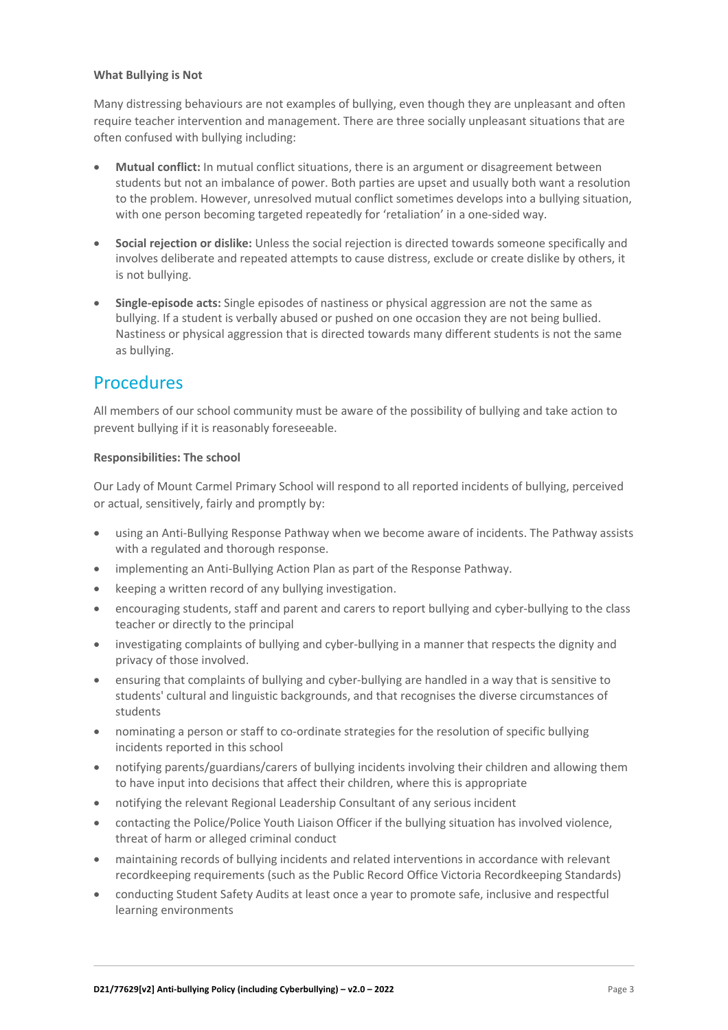#### **What Bullying is Not**

Many distressing behaviours are not examples of bullying, even though they are unpleasant and often require teacher intervention and management. There are three socially unpleasant situations that are often confused with bullying including:

- **Mutual conflict:** In mutual conflict situations, there is an argument or disagreement between students but not an imbalance of power. Both parties are upset and usually both want a resolution to the problem. However, unresolved mutual conflict sometimes develops into a bullying situation, with one person becoming targeted repeatedly for 'retaliation' in a one-sided way.
- **Social rejection or dislike:** Unless the social rejection is directed towards someone specifically and involves deliberate and repeated attempts to cause distress, exclude or create dislike by others, it is not bullying.
- **Single-episode acts:** Single episodes of nastiness or physical aggression are not the same as bullying. If a student is verbally abused or pushed on one occasion they are not being bullied. Nastiness or physical aggression that is directed towards many different students is not the same as bullying.

### **Procedures**

All members of our school community must be aware of the possibility of bullying and take action to prevent bullying if it is reasonably foreseeable.

#### **Responsibilities: The school**

Our Lady of Mount Carmel Primary School will respond to all reported incidents of bullying, perceived or actual, sensitively, fairly and promptly by:

- using an Anti-Bullying Response Pathway when we become aware of incidents. The Pathway assists with a regulated and thorough response.
- implementing an Anti-Bullying Action Plan as part of the Response Pathway.
- keeping a written record of any bullying investigation.
- encouraging students, staff and parent and carers to report bullying and cyber-bullying to the class teacher or directly to the principal
- investigating complaints of bullying and cyber-bullying in a manner that respects the dignity and privacy of those involved.
- ensuring that complaints of bullying and cyber-bullying are handled in a way that is sensitive to students' cultural and linguistic backgrounds, and that recognises the diverse circumstances of students
- nominating a person or staff to co-ordinate strategies for the resolution of specific bullying incidents reported in this school
- notifying parents/guardians/carers of bullying incidents involving their children and allowing them to have input into decisions that affect their children, where this is appropriate
- notifying the relevant Regional Leadership Consultant of any serious incident
- contacting the Police/Police Youth Liaison Officer if the bullying situation has involved violence, threat of harm or alleged criminal conduct
- maintaining records of bullying incidents and related interventions in accordance with relevant recordkeeping requirements (such as the Public Record Office Victoria Recordkeeping Standards)
- conducting Student Safety Audits at least once a year to promote safe, inclusive and respectful learning environments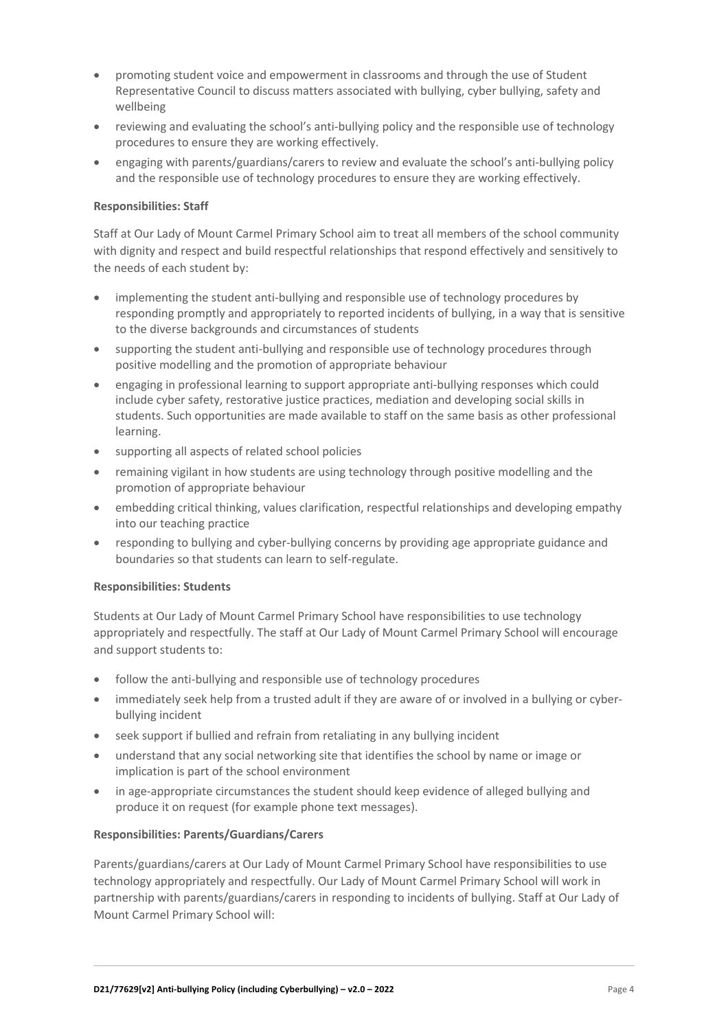- promoting student voice and empowerment in classrooms and through the use of Student Representative Council to discuss matters associated with bullying, cyber bullying, safety and wellbeing
- reviewing and evaluating the school's anti-bullying policy and the responsible use of technology procedures to ensure they are working effectively.
- engaging with parents/guardians/carers to review and evaluate the school's anti-bullying policy and the responsible use of technology procedures to ensure they are working effectively.

#### **Responsibilities: Staff**

Staff at Our Lady of Mount Carmel Primary School aim to treat all members of the school community with dignity and respect and build respectful relationships that respond effectively and sensitively to the needs of each student by:

- implementing the student anti-bullying and responsible use of technology procedures by responding promptly and appropriately to reported incidents of bullying, in a way that is sensitive to the diverse backgrounds and circumstances of students
- supporting the student anti-bullying and responsible use of technology procedures through positive modelling and the promotion of appropriate behaviour
- engaging in professional learning to support appropriate anti-bullying responses which could include cyber safety, restorative justice practices, mediation and developing social skills in students. Such opportunities are made available to staff on the same basis as other professional learning.
- supporting all aspects of related school policies
- remaining vigilant in how students are using technology through positive modelling and the promotion of appropriate behaviour
- embedding critical thinking, values clarification, respectful relationships and developing empathy into our teaching practice
- responding to bullying and cyber-bullying concerns by providing age appropriate guidance and boundaries so that students can learn to self-regulate.

#### **Responsibilities: Students**

Students at Our Lady of Mount Carmel Primary School have responsibilities to use technology appropriately and respectfully. The staff at Our Lady of Mount Carmel Primary School will encourage and support students to:

- follow the anti-bullying and responsible use of technology procedures
- immediately seek help from a trusted adult if they are aware of or involved in a bullying or cyberbullying incident
- seek support if bullied and refrain from retaliating in any bullying incident
- understand that any social networking site that identifies the school by name or image or implication is part of the school environment
- in age-appropriate circumstances the student should keep evidence of alleged bullying and produce it on request (for example phone text messages).

#### **Responsibilities: Parents/Guardians/Carers**

Parents/guardians/carers at Our Lady of Mount Carmel Primary School have responsibilities to use technology appropriately and respectfully. Our Lady of Mount Carmel Primary School will work in partnership with parents/guardians/carers in responding to incidents of bullying. Staff at Our Lady of Mount Carmel Primary School will: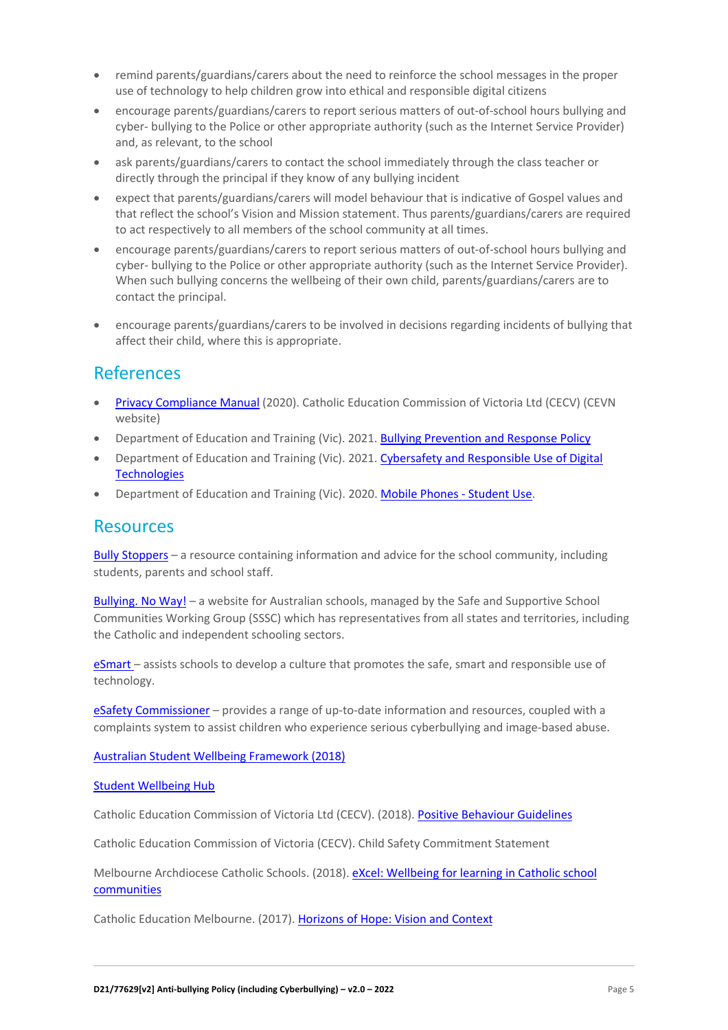- remind parents/guardians/carers about the need to reinforce the school messages in the proper use of technology to help children grow into ethical and responsible digital citizens
- encourage parents/guardians/carers to report serious matters of out-of-school hours bullying and cyber- bullying to the Police or other appropriate authority (such as the Internet Service Provider) and, as relevant, to the school
- ask parents/guardians/carers to contact the school immediately through the class teacher or directly through the principal if they know of any bullying incident
- expect that parents/guardians/carers will model behaviour that is indicative of Gospel values and that reflect the school's Vision and Mission statement. Thus parents/guardians/carers are required to act respectively to all members of the school community at all times.
- encourage parents/guardians/carers to report serious matters of out-of-school hours bullying and cyber- bullying to the Police or other appropriate authority (such as the Internet Service Provider). When such bullying concerns the wellbeing of their own child, parents/guardians/carers are to contact the principal.
- encourage parents/guardians/carers to be involved in decisions regarding incidents of bullying that affect their child, where this is appropriate.

## References

- Privacy Compliance Manual (2020). Catholic Education Commission of Victoria Ltd (CECV) (CEVN website)
- Department of Education and Training (Vic). 2021. Bullying Prevention and Response Policy
- Department of Education and Training (Vic). 2021. Cybersafety and Responsible Use of Digital **Technologies**
- Department of Education and Training (Vic). 2020. Mobile Phones Student Use.

### **Resources**

Bully Stoppers – a resource containing information and advice for the school community, including students, parents and school staff.

Bullying. No Way! – a website for Australian schools, managed by the Safe and Supportive School Communities Working Group (SSSC) which has representatives from all states and territories, including the Catholic and independent schooling sectors.

eSmart – assists schools to develop a culture that promotes the safe, smart and responsible use of technology.

eSafety Commissioner – provides a range of up-to-date information and resources, coupled with a complaints system to assist children who experience serious cyberbullying and image-based abuse.

Australian Student Wellbeing Framework (2018)

#### Student Wellbeing Hub

Catholic Education Commission of Victoria Ltd (CECV). (2018). Positive Behaviour Guidelines

Catholic Education Commission of Victoria (CECV). Child Safety Commitment Statement

Melbourne Archdiocese Catholic Schools. (2018). eXcel: Wellbeing for learning in Catholic school communities

Catholic Education Melbourne. (2017). Horizons of Hope: Vision and Context